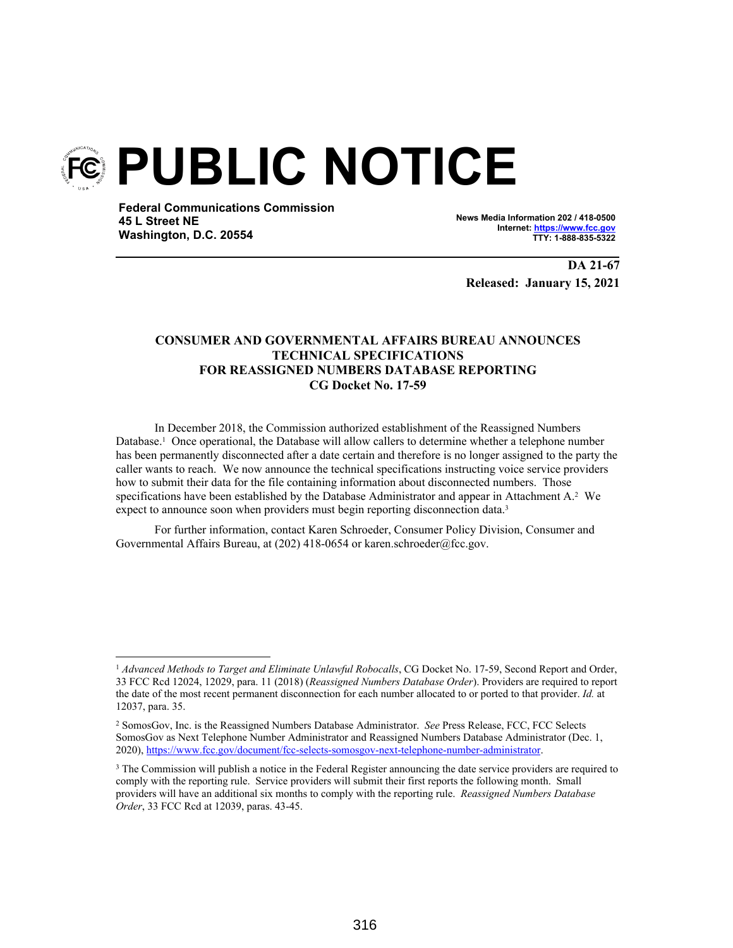

**Federal Communications Commission 45 L Street NE Washington, D.C. 20554**

**News Media Information 202 / 418-0500 Internet: https://www.fcc.gov TTY: 1-888-835-5322**

**DA 21-67 Released: January 15, 2021**

# **CONSUMER AND GOVERNMENTAL AFFAIRS BUREAU ANNOUNCES TECHNICAL SPECIFICATIONS FOR REASSIGNED NUMBERS DATABASE REPORTING CG Docket No. 17-59**

In December 2018, the Commission authorized establishment of the Reassigned Numbers Database.<sup>1</sup> Once operational, the Database will allow callers to determine whether a telephone number has been permanently disconnected after a date certain and therefore is no longer assigned to the party the caller wants to reach. We now announce the technical specifications instructing voice service providers how to submit their data for the file containing information about disconnected numbers. Those specifications have been established by the Database Administrator and appear in Attachment A.<sup>2</sup> We expect to announce soon when providers must begin reporting disconnection data.<sup>3</sup>

For further information, contact Karen Schroeder, Consumer Policy Division, Consumer and Governmental Affairs Bureau, at (202) 418-0654 or karen.schroeder@fcc.gov.

<sup>1</sup> *Advanced Methods to Target and Eliminate Unlawful Robocalls*, CG Docket No. 17-59, Second Report and Order, 33 FCC Rcd 12024, 12029, para. 11 (2018) (*Reassigned Numbers Database Order*). Providers are required to report the date of the most recent permanent disconnection for each number allocated to or ported to that provider. *Id.* at 12037, para. 35.

<sup>2</sup> SomosGov, Inc. is the Reassigned Numbers Database Administrator. *See* Press Release, FCC, FCC Selects SomosGov as Next Telephone Number Administrator and Reassigned Numbers Database Administrator (Dec. 1, 2020), https://www.fcc.gov/document/fcc-selects-somosgov-next-telephone-number-administrator.

<sup>&</sup>lt;sup>3</sup> The Commission will publish a notice in the Federal Register announcing the date service providers are required to comply with the reporting rule. Service providers will submit their first reports the following month. Small providers will have an additional six months to comply with the reporting rule. *Reassigned Numbers Database Order*, 33 FCC Rcd at 12039, paras. 43-45.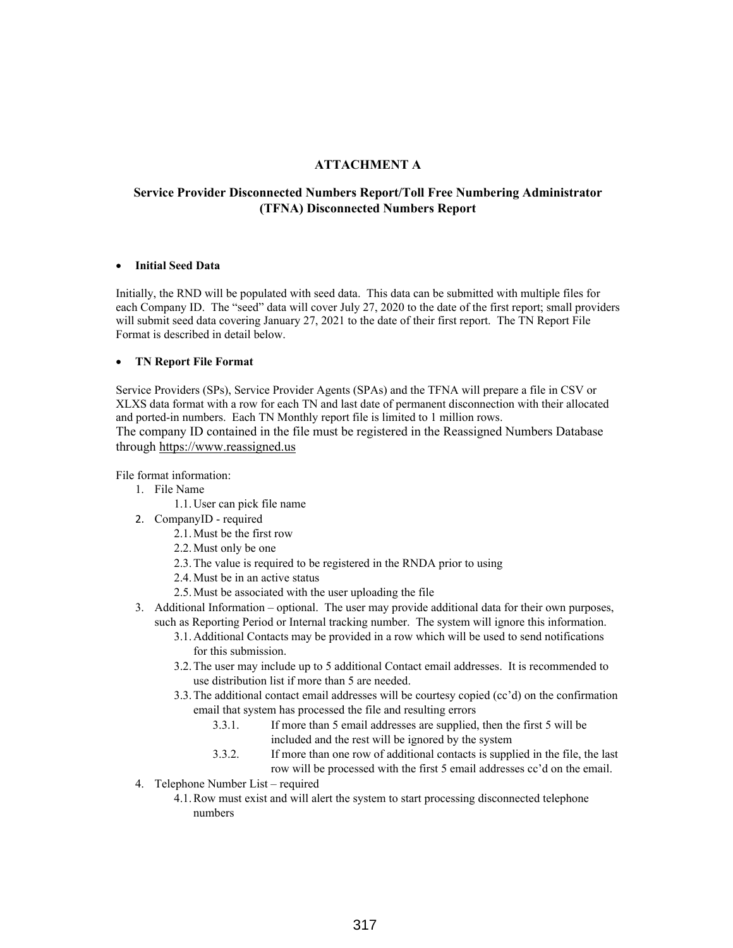## **ATTACHMENT A**

# **Service Provider Disconnected Numbers Report/Toll Free Numbering Administrator (TFNA) Disconnected Numbers Report**

#### **Initial Seed Data**

Initially, the RND will be populated with seed data. This data can be submitted with multiple files for each Company ID. The "seed" data will cover July 27, 2020 to the date of the first report; small providers will submit seed data covering January 27, 2021 to the date of their first report. The TN Report File Format is described in detail below.

### **TN Report File Format**

Service Providers (SPs), Service Provider Agents (SPAs) and the TFNA will prepare a file in CSV or XLXS data format with a row for each TN and last date of permanent disconnection with their allocated and ported-in numbers. Each TN Monthly report file is limited to 1 million rows. The company ID contained in the file must be registered in the Reassigned Numbers Database through https://www.reassigned.us

- File format information:
	- 1. File Name
		- 1.1. User can pick file name
	- 2. CompanyID required
		- 2.1. Must be the first row
		- 2.2. Must only be one
		- 2.3. The value is required to be registered in the RNDA prior to using
		- 2.4. Must be in an active status
		- 2.5. Must be associated with the user uploading the file
	- 3. Additional Information optional. The user may provide additional data for their own purposes, such as Reporting Period or Internal tracking number. The system will ignore this information.
		- 3.1. Additional Contacts may be provided in a row which will be used to send notifications for this submission.
		- 3.2. The user may include up to 5 additional Contact email addresses. It is recommended to use distribution list if more than 5 are needed.
		- 3.3. The additional contact email addresses will be courtesy copied (cc'd) on the confirmation email that system has processed the file and resulting errors
			- 3.3.1. If more than 5 email addresses are supplied, then the first 5 will be included and the rest will be ignored by the system
			- 3.3.2. If more than one row of additional contacts is supplied in the file, the last row will be processed with the first 5 email addresses cc'd on the email.
	- 4. Telephone Number List required
		- 4.1. Row must exist and will alert the system to start processing disconnected telephone numbers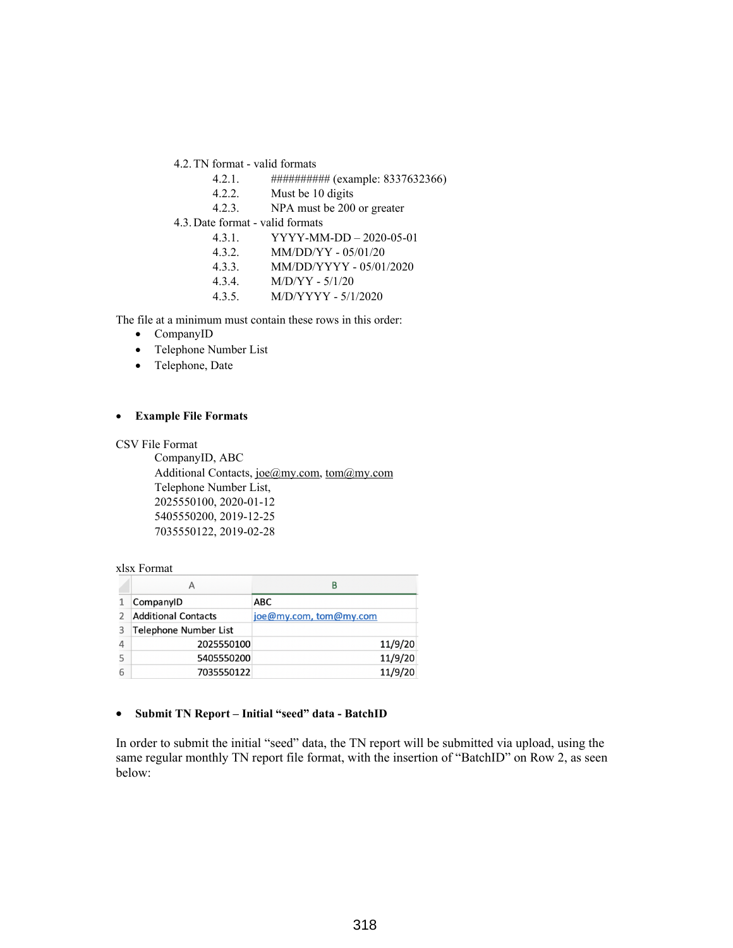- 4.2. TN format valid formats
	- 4.2.1. ########## (example: 8337632366)
	- 4.2.2. Must be 10 digits
	- 4.2.3. NPA must be 200 or greater
- 4.3. Date format valid formats
	- 4.3.1. YYYY-MM-DD 2020-05-01
	- 4.3.2. MM/DD/YY 05/01/20
	- 4.3.3. MM/DD/YYYY 05/01/2020
	- 4.3.4. M/D/YY 5/1/20
	- 4.3.5. M/D/YYYY 5/1/2020

The file at a minimum must contain these rows in this order:

- CompanyID
- Telephone Number List
- Telephone, Date

#### **Example File Formats**

CSV File Format

CompanyID, ABC Additional Contacts, joe@my.com, tom@my.com Telephone Number List, 2025550100, 2020-01-12 5405550200, 2019-12-25 7035550122, 2019-02-28

#### xlsx Format

|   | А                            | В                      |
|---|------------------------------|------------------------|
|   | CompanyID                    | <b>ABC</b>             |
|   | <b>Additional Contacts</b>   | joe@my.com, tom@my.com |
| 3 | <b>Telephone Number List</b> |                        |
| 4 | 2025550100                   | 11/9/20                |
| 5 | 5405550200                   | 11/9/20                |
| 6 | 7035550122                   | 11/9/20                |

### **Submit TN Report – Initial "seed" data - BatchID**

In order to submit the initial "seed" data, the TN report will be submitted via upload, using the same regular monthly TN report file format, with the insertion of "BatchID" on Row 2, as seen below: